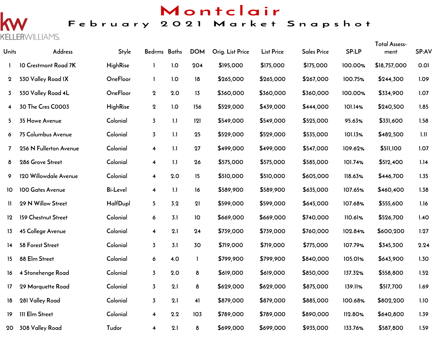# Montclair

## February 2021 Market Snapshot

# $\overline{\mathsf{K}}$ KELLERWILLIAMS.

| Units            | Address                | <b>Style</b>    | Bedrms Baths            |     | <b>DOM</b> | Orig. List Price | <b>List Price</b> | <b>Sales Price</b> | SP:LP   | <b>Total Assess-</b><br>ment | SP:AV |
|------------------|------------------------|-----------------|-------------------------|-----|------------|------------------|-------------------|--------------------|---------|------------------------------|-------|
|                  | 10 Crestmont Road 7K   | <b>HighRise</b> | $\mathbf{I}$            | 1.0 | 204        | \$195,000        | \$175,000         | \$175,000          | 100.00% | \$18,757,000                 | 0.01  |
| $\bf{2}$         | 530 Valley Road IX     | OneFloor        | $\mathbf{I}$            | 1.0 | 18         | \$265,000        | \$265,000         | \$267,000          | 100.75% | \$244,300                    | 1.09  |
| 3                | 530 Valley Road 4L     | OneFloor        | $\mathbf 2$             | 2.0 | 13         | \$360,000        | \$360,000         | \$360,000          | 100.00% | \$334,900                    | 1.07  |
| 4                | 30 The Cres C0003      | <b>HighRise</b> | $\mathbf 2$             | 1.0 | 156        | \$529,000        | \$439,000         | \$444,000          | 101.14% | \$240,500                    | 1.85  |
| 5                | 35 Howe Avenue         | Colonial        | $\overline{3}$          | 1.1 | 121        | \$549,000        | \$549,000         | \$525,000          | 95.63%  | \$331,600                    | 1.58  |
| 6                | 75 Columbus Avenue     | Colonial        | $\overline{\mathbf{3}}$ | 1.1 | 25         | \$529,000        | \$529,000         | \$535,000          | 101.13% | \$482,500                    | 1.11  |
| 7                | 256 N Fullerton Avenue | Colonial        | $\overline{\mathbf{4}}$ | 1.1 | 27         | \$499,000        | \$499,000         | \$547,000          | 109.62% | \$511,100                    | 1.07  |
| 8                | 286 Grove Street       | Colonial        | $\overline{\mathbf{4}}$ | 1.1 | 26         | \$575,000        | \$575,000         | \$585,000          | 101.74% | \$512,400                    | 1.14  |
| 9                | 120 Willowdale Avenue  | Colonial        | $\overline{\mathbf{4}}$ | 2.0 | 15         | \$510,000        | \$510,000         | \$605,000          | 118.63% | \$446,700                    | 1.35  |
| 10               | 100 Gates Avenue       | <b>Bi-Level</b> | $\overline{\mathbf{4}}$ | 1.1 | 16         | \$589,900        | \$589,900         | \$635,000          | 107.65% | \$460,400                    | 1.38  |
| H                | 29 N Willow Street     | HalfDupl        | 5                       | 3.2 | 21         | \$599,000        | \$599,000         | \$645,000          | 107.68% | \$555,600                    | 1.16  |
| 12               | 159 Chestnut Street    | Colonial        | 6                       | 3.1 | 10         | \$669,000        | \$669,000         | \$740,000          | 110.61% | \$526,700                    | 1.40  |
| 13               | 45 College Avenue      | Colonial        | $\overline{\mathbf{4}}$ | 2.1 | 24         | \$739,000        | \$739,000         | \$760,000          | 102.84% | \$600,200                    | 1.27  |
| 14               | 58 Forest Street       | Colonial        | $\overline{3}$          | 3.1 | 30         | \$719,000        | \$719,000         | \$775,000          | 107.79% | \$345,300                    | 2.24  |
| 15               | 88 Elm Street          | Colonial        | 6                       | 4.0 | L          | \$799,900        | \$799,900         | \$840,000          | 105.01% | \$643,900                    | 1.30  |
| 16               | 4 Stonehenge Road      | Colonial        | $\overline{3}$          | 2.0 | 8          | \$619,000        | \$619,000         | \$850,000          | 137.32% | \$558,800                    | 1.52  |
| 17 <sub>17</sub> | 29 Marquette Road      | Colonial        | $\overline{3}$          | 2.1 | 8          | \$629,000        | \$629,000         | \$875,000          | 139.11% | \$517,700                    | 1.69  |
| 18               | 281 Valley Road        | Colonial        | $\overline{3}$          | 2.1 | 41         | \$879,000        | \$879,000         | \$885,000          | 100.68% | \$802,200                    | 1.10  |
| 19               | <b>III Elm Street</b>  | Colonial        | $\overline{\mathbf{4}}$ | 2.2 | 103        | \$789,000        | \$789,000         | \$890,000          | 112.80% | \$640,800                    | 1.39  |
| 20               | 308 Valley Road        | Tudor           | $\overline{\mathbf{4}}$ | 2.1 | $\delta$   | \$699,000        | \$699,000         | \$935,000          | 133.76% | \$587,800                    | 1.59  |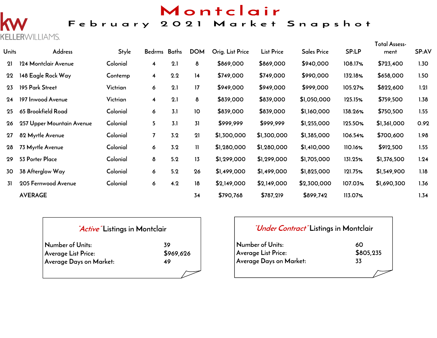# Montclair

## February 2021 Market Snapshot

# **KELLERWILLIAMS.**

| <b>Units</b> | <b>Address</b>            | Style    | Bedrms Baths            |     | <b>DOM</b>    | Orig. List Price | <b>List Price</b> | <b>Sales Price</b> | SP:LP   | Total Assess-<br>ment | SP:AV |
|--------------|---------------------------|----------|-------------------------|-----|---------------|------------------|-------------------|--------------------|---------|-----------------------|-------|
| 21           | 124 Montclair Avenue      | Colonial | $\overline{\mathbf{4}}$ | 2.1 | 8             | \$869,000        | \$869,000         | \$940,000          | 108.17% | \$723,400             | 1.30  |
| 22           | 148 Eagle Rock Way        | Contemp  | $\overline{\mathbf{4}}$ | 2.2 | 14            | \$749,000        | \$749,000         | \$990,000          | 132.18% | \$658,000             | 1.50  |
| 23           | 195 Park Street           | Victrian | 6                       | 2.1 | 17            | \$949,000        | \$949,000         | \$999,000          | 105.27% | \$822,600             | 1.21  |
| 24           | 197 Inwood Avenue         | Victrian | $\overline{\mathbf{4}}$ | 2.1 | 8             | \$839,000        | \$839,000         | \$1,050,000        | 125.15% | \$759,500             | 1.38  |
| 25           | 65 Brookfield Road        | Colonial | 6                       | 3.1 | 10            | \$839,000        | \$839,000         | \$1,160,000        | 138.26% | \$750,500             | 1.55  |
| 26           | 257 Upper Mountain Avenue | Colonial | 5                       | 3.1 | 31            | \$999,999        | \$999,999         | \$1,255,000        | 125.50% | \$1,361,000           | 0.92  |
| 27           | 82 Myrtle Avenue          | Colonial | $\overline{7}$          | 3.2 | 21            | \$1,300,000      | \$1,300,000       | \$1,385,000        | 106.54% | \$700,600             | 1.98  |
| 28           | 73 Myrtle Avenue          | Colonial | 6                       | 3.2 | $\mathbf{II}$ | \$1,280,000      | \$1,280,000       | \$1,410,000        | 110.16% | \$912,500             | 1.55  |
| 29           | 53 Porter Place           | Colonial | 8                       | 5.2 | 13            | \$1,299,000      | \$1,299,000       | \$1,705,000        | 131.25% | \$1,376,500           | 1.24  |
| 30           | 38 Afterglow Way          | Colonial | 6                       | 5.2 | 26            | \$1,499,000      | \$1,499,000       | \$1,825,000        | 121.75% | \$1,549,900           | 1.18  |
| 31           | 205 Fernwood Avenue       | Colonial | 6                       | 4.2 | 18            | \$2,149,000      | \$2,149,000       | \$2,300,000        | 107.03% | \$1,690,300           | 1.36  |
|              | <b>AVERAGE</b>            |          |                         |     | 34            | \$790,768        | \$787,219         | \$899,742          | 113.07% |                       | 1.34  |

| <i>Active</i> Listings in Montclair |  |  |
|-------------------------------------|--|--|
|                                     |  |  |

| Number of Units:        | 39        |
|-------------------------|-----------|
| Average List Price:     | \$969,626 |
| Average Days on Market: | 49        |
|                         |           |

#### **"Under Contract" Listings in Montclair**

| Number of Units:           | 60        |
|----------------------------|-----------|
| <b>Average List Price:</b> | \$805,235 |
| Average Days on Market:    | 33        |
|                            |           |